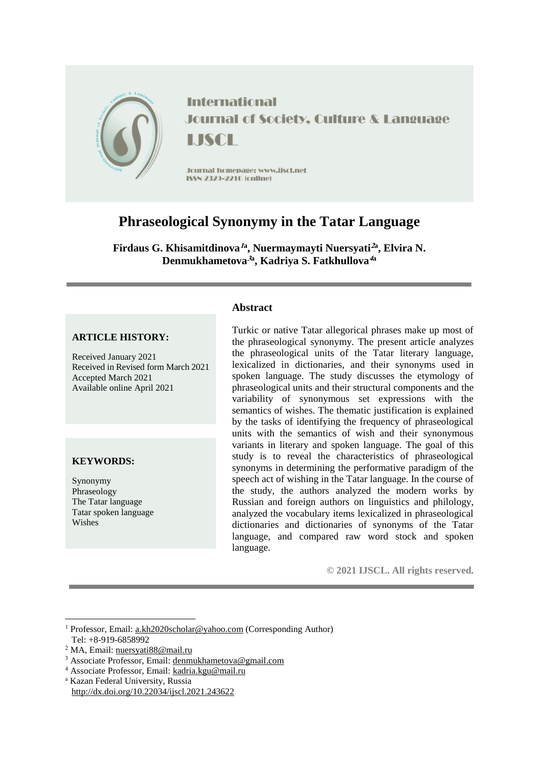

**International Journal of Society, Culture & Language** LISCH

Journal homepage: www.jiscl.net ISSN 2329-2210 (cnline)

# **Phraseological Synonymy in the Tatar Language**

**Firdaus G. Khisamitdinova1<sup>a</sup> , Nuermaymayti Nuersyati2<sup>a</sup> , Elvira N. Denmukhametova3<sup>a</sup> , Kadriya S. Fatkhullova4<sup>a</sup>**

**Abstract**

#### **ARTICLE HISTORY:**

Received January 2021 Received in Revised form March 2021 Accepted March 2021 Available online April 2021

#### **KEYWORDS:**

**.** 

Synonymy Phraseology The Tatar language Tatar spoken language Wishes

Turkic or native Tatar allegorical phrases make up most of the phraseological synonymy. The present article analyzes the phraseological units of the Tatar literary language, lexicalized in dictionaries, and their synonyms used in spoken language. The study discusses the etymology of phraseological units and their structural components and the variability of synonymous set expressions with the semantics of wishes. The thematic justification is explained by the tasks of identifying the frequency of phraseological units with the semantics of wish and their synonymous variants in literary and spoken language. The goal of this study is to reveal the characteristics of phraseological synonyms in determining the performative paradigm of the speech act of wishing in the Tatar language. In the course of the study, the authors analyzed the modern works by Russian and foreign authors on linguistics and philology, analyzed the vocabulary items lexicalized in phraseological dictionaries and dictionaries of synonyms of the Tatar language, and compared raw word stock and spoken language.

**© 2021 IJSCL. All rights reserved.**

<sup>a</sup> Kazan Federal University, Russia http://dx.doi.org/10.22034/ijscl.2021.243622

<sup>1</sup> Professor, Email: [a.kh2020scholar@yahoo.com](mailto:a.kh2020scholar@yahoo.com) (Corresponding Author) Tel: +8-919-6858992

<sup>2</sup> MA, Email: [nuersyati88@mail.ru](mailto:nuersyati88@mail.ru)

<sup>&</sup>lt;sup>3</sup> Associate Professor, Email: [denmukhametova@gmail.com](mailto:denmukhametova@gmail.com)

<sup>4</sup> Associate Professor, Email: [kadria.kgu@mail.ru](mailto:kadria.kgu@mail.ru)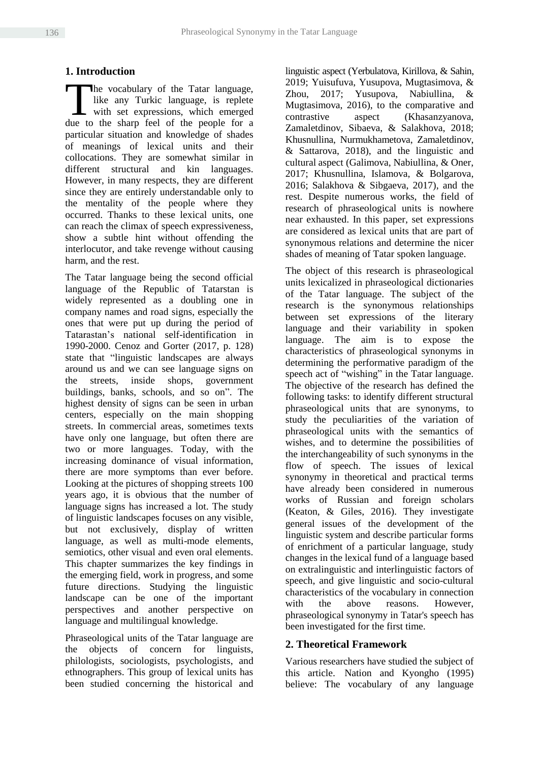## **1. Introduction**

he vocabulary of the Tatar language, like any Turkic language, is replete with set expressions, which emerged The vocabulary of the Tatar language, like any Turkic language, is replete with set expressions, which emerged due to the sharp feel of the people for a particular situation and knowledge of shades of meanings of lexical units and their collocations. They are somewhat similar in different structural and kin languages. However, in many respects, they are different since they are entirely understandable only to the mentality of the people where they occurred. Thanks to these lexical units, one can reach the climax of speech expressiveness, show a subtle hint without offending the interlocutor, and take revenge without causing harm, and the rest.

The Tatar language being the second official language of the Republic of Tatarstan is widely represented as a doubling one in company names and road signs, especially the ones that were put up during the period of Tatarastan's national self-identification in 1990-2000. Cenoz and Gorter (2017, p. 128) state that "linguistic landscapes are always around us and we can see language signs on the streets, inside shops, government buildings, banks, schools, and so on". The highest density of signs can be seen in urban centers, especially on the main shopping streets. In commercial areas, sometimes texts have only one language, but often there are two or more languages. Today, with the increasing dominance of visual information, there are more symptoms than ever before. Looking at the pictures of shopping streets 100 years ago, it is obvious that the number of language signs has increased a lot. The study of linguistic landscapes focuses on any visible, but not exclusively, display of written language, as well as multi-mode elements, semiotics, other visual and even oral elements. This chapter summarizes the key findings in the emerging field, work in progress, and some future directions. Studying the linguistic landscape can be one of the important perspectives and another perspective on language and multilingual knowledge.

Phraseological units of the Tatar language are the objects of concern for linguists, philologists, sociologists, psychologists, and ethnographers. This group of lexical units has been studied concerning the historical and linguistic aspect (Yerbulatova, Kirillova, & Sahin, 2019; Yuisufuva, Yusupova, Mugtasimova, & Zhou, 2017; Yusupova, Nabiullina, & Mugtasimova, 2016), to the comparative and contrastive aspect (Khasanzyanova, Zamaletdinov, Sibaeva, & Salakhova, 2018; Khusnullina, Nurmukhametova, Zamaletdinov, & Sattarova, 2018), and the linguistic and cultural aspect (Galimova, Nabiullina, & Oner, 2017; Khusnullina, Islamova, & Bolgarova, 2016; Salakhova & Sibgaeva, 2017), and the rest. Despite numerous works, the field of research of phraseological units is nowhere near exhausted. In this paper, set expressions are considered as lexical units that are part of synonymous relations and determine the nicer shades of meaning of Tatar spoken language.

The object of this research is phraseological units lexicalized in phraseological dictionaries of the Tatar language. The subject of the research is the synonymous relationships between set expressions of the literary language and their variability in spoken language. The aim is to expose the characteristics of phraseological synonyms in determining the performative paradigm of the speech act of "wishing" in the Tatar language. The objective of the research has defined the following tasks: to identify different structural phraseological units that are synonyms, to study the peculiarities of the variation of phraseological units with the semantics of wishes, and to determine the possibilities of the interchangeability of such synonyms in the flow of speech. The issues of lexical synonymy in theoretical and practical terms have already been considered in numerous works of Russian and foreign scholars (Keaton, & Giles, 2016). They investigate general issues of the development of the linguistic system and describe particular forms of enrichment of a particular language, study changes in the lexical fund of a language based on extralinguistic and interlinguistic factors of speech, and give linguistic and socio-cultural characteristics of the vocabulary in connection with the above reasons. However, phraseological synonymy in Tatar's speech has been investigated for the first time.

#### **2. Theoretical Framework**

Various researchers have studied the subject of this article. Nation and Kyongho (1995) believe: The vocabulary of any language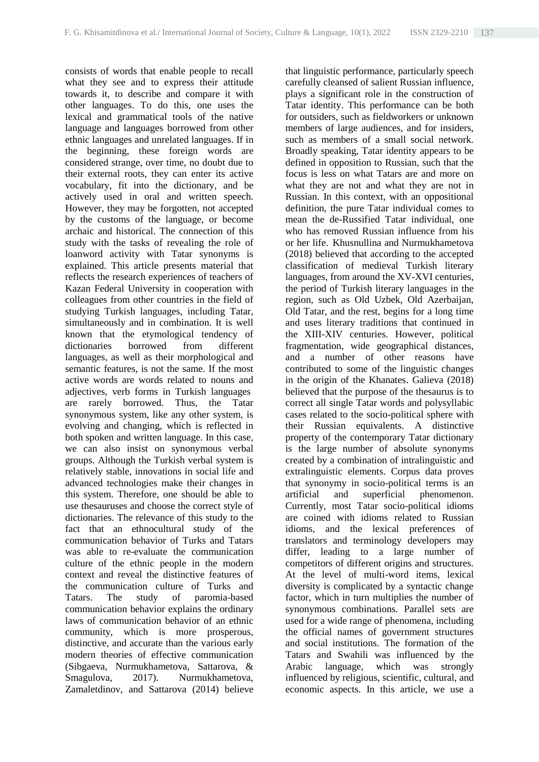consists of words that enable people to recall what they see and to express their attitude towards it, to describe and compare it with other languages. To do this, one uses the lexical and grammatical tools of the native language and languages borrowed from other ethnic languages and unrelated languages. If in the beginning, these foreign words are considered strange, over time, no doubt due to their external roots, they can enter its active vocabulary, fit into the dictionary, and be actively used in oral and written speech. However, they may be forgotten, not accepted by the customs of the language, or become archaic and historical. The connection of this study with the tasks of revealing the role of loanword activity with Tatar synonyms is explained. This article presents material that reflects the research experiences of teachers of Kazan Federal University in cooperation with colleagues from other countries in the field of studying Turkish languages, including Tatar, simultaneously and in combination. It is well known that the etymological tendency of dictionaries borrowed from different languages, as well as their morphological and semantic features, is not the same. If the most active words are words related to nouns and adjectives, verb forms in Turkish languages are rarely borrowed. Thus, the Tatar synonymous system, like any other system, is evolving and changing, which is reflected in both spoken and written language. In this case, we can also insist on synonymous verbal groups. Although the Turkish verbal system is relatively stable, innovations in social life and advanced technologies make their changes in this system. Therefore, one should be able to use thesauruses and choose the correct style of dictionaries. The relevance of this study to the fact that an ethnocultural study of the communication behavior of Turks and Tatars was able to re-evaluate the communication culture of the ethnic people in the modern context and reveal the distinctive features of the communication culture of Turks and Tatars. The study of paromia-based communication behavior explains the ordinary laws of communication behavior of an ethnic community, which is more prosperous, distinctive, and accurate than the various early modern theories of effective communication (Sibgaeva, Nurmukhametova, Sattarova, & Smagulova, 2017). Nurmukhametova, Zamaletdinov, and Sattarova (2014) believe that linguistic performance, particularly speech carefully cleansed of salient Russian influence, plays a significant role in the construction of Tatar identity. This performance can be both for outsiders, such as fieldworkers or unknown members of large audiences, and for insiders, such as members of a small social network. Broadly speaking, Tatar identity appears to be defined in opposition to Russian, such that the focus is less on what Tatars are and more on what they are not and what they are not in Russian. In this context, with an oppositional definition, the pure Tatar individual comes to mean the de-Russified Tatar individual, one who has removed Russian influence from his or her life. Khusnullina and Nurmukhametova (2018) believed that according to the accepted classification of medieval Turkish literary languages, from around the XV-XVI centuries, the period of Turkish literary languages in the region, such as Old Uzbek, Old Azerbaijan, Old Tatar, and the rest, begins for a long time and uses literary traditions that continued in the XIII-XIV centuries. However, political fragmentation, wide geographical distances, and a number of other reasons have contributed to some of the linguistic changes in the origin of the Khanates. Galieva (2018) believed that the purpose of the thesaurus is to correct all single Tatar words and polysyllabic cases related to the socio-political sphere with their Russian equivalents. A distinctive property of the contemporary Tatar dictionary is the large number of absolute synonyms created by a combination of intralinguistic and extralinguistic elements. Corpus data proves that synonymy in socio-political terms is an artificial and superficial phenomenon. Currently, most Tatar socio-political idioms are coined with idioms related to Russian idioms, and the lexical preferences of translators and terminology developers may differ, leading to a large number of competitors of different origins and structures. At the level of multi-word items, lexical diversity is complicated by a syntactic change factor, which in turn multiplies the number of synonymous combinations. Parallel sets are used for a wide range of phenomena, including the official names of government structures and social institutions. The formation of the Tatars and Swahili was influenced by the Arabic language, which was strongly influenced by religious, scientific, cultural, and economic aspects. In this article, we use a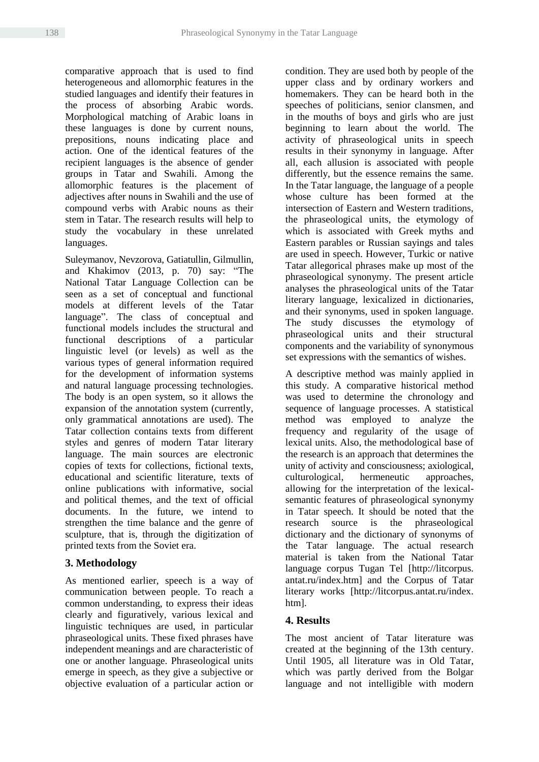comparative approach that is used to find heterogeneous and allomorphic features in the studied languages and identify their features in the process of absorbing Arabic words. Morphological matching of Arabic loans in these languages is done by current nouns, prepositions, nouns indicating place and action. One of the identical features of the recipient languages is the absence of gender groups in Tatar and Swahili. Among the allomorphic features is the placement of adjectives after nouns in Swahili and the use of compound verbs with Arabic nouns as their stem in Tatar. The research results will help to study the vocabulary in these unrelated languages.

Suleymanov, Nevzorova, Gatiatullin, Gilmullin, and Khakimov (2013, p. 70) say: "The National Tatar Language Collection can be seen as a set of conceptual and functional models at different levels of the Tatar language". The class of conceptual and functional models includes the structural and functional descriptions of a particular linguistic level (or levels) as well as the various types of general information required for the development of information systems and natural language processing technologies. The body is an open system, so it allows the expansion of the annotation system (currently, only grammatical annotations are used). The Tatar collection contains texts from different styles and genres of modern Tatar literary language. The main sources are electronic copies of texts for collections, fictional texts, educational and scientific literature, texts of online publications with informative, social and political themes, and the text of official documents. In the future, we intend to strengthen the time balance and the genre of sculpture, that is, through the digitization of printed texts from the Soviet era.

## **3. Methodology**

As mentioned earlier, speech is a way of communication between people. To reach a common understanding, to express their ideas clearly and figuratively, various lexical and linguistic techniques are used, in particular phraseological units. These fixed phrases have independent meanings and are characteristic of one or another language. Phraseological units emerge in speech, as they give a subjective or objective evaluation of a particular action or condition. They are used both by people of the upper class and by ordinary workers and homemakers. They can be heard both in the speeches of politicians, senior clansmen, and in the mouths of boys and girls who are just beginning to learn about the world. The activity of phraseological units in speech results in their synonymy in language. After all, each allusion is associated with people differently, but the essence remains the same. In the Tatar language, the language of a people whose culture has been formed at the intersection of Eastern and Western traditions, the phraseological units, the etymology of which is associated with Greek myths and Eastern parables or Russian sayings and tales are used in speech. However, Turkic or native Tatar allegorical phrases make up most of the phraseological synonymy. The present article analyses the phraseological units of the Tatar literary language, lexicalized in dictionaries, and their synonyms, used in spoken language. The study discusses the etymology of phraseological units and their structural components and the variability of synonymous set expressions with the semantics of wishes.

A descriptive method was mainly applied in this study. A comparative historical method was used to determine the chronology and sequence of language processes. A statistical method was employed to analyze the frequency and regularity of the usage of lexical units. Also, the methodological base of the research is an approach that determines the unity of activity and consciousness; axiological, culturological, hermeneutic approaches, allowing for the interpretation of the lexicalsemantic features of phraseological synonymy in Tatar speech. It should be noted that the research source is the phraseological dictionary and the dictionary of synonyms of the Tatar language. The actual research material is taken from the National Tatar language corpus Tugan Tel [http://litcorpus. antat.ru/index.htm] and the Corpus of Tatar literary works [http://litcorpus.antat.ru/index. htm].

## **4. Results**

The most ancient of Tatar literature was created at the beginning of the 13th century. Until 1905, all literature was in Old Tatar, which was partly derived from the Bolgar language and not intelligible with modern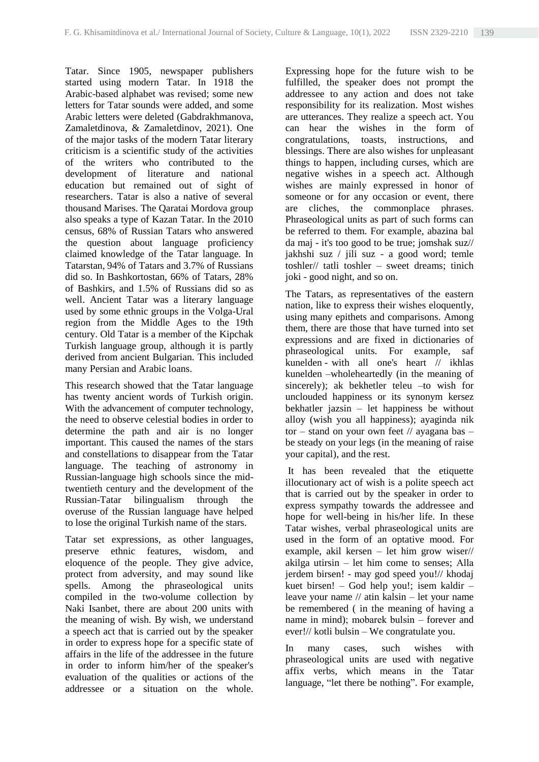Tatar. Since 1905, newspaper publishers started using modern Tatar. In 1918 the Arabic-based alphabet was revised; some new letters for Tatar sounds were added, and some Arabic letters were deleted (Gabdrakhmanova, Zamaletdinova, & Zamaletdinov, 2021). One of the major tasks of the modern Tatar literary criticism is a scientific study of the activities of the writers who contributed to the development of literature and national education but remained out of sight of researchers. Tatar is also a native of several thousand Marises. The Qaratai Mordova group also speaks a type of Kazan Tatar. In the 2010 census, 68% of Russian Tatars who answered the question about language proficiency claimed knowledge of the Tatar language. In Tatarstan, 94% of Tatars and 3.7% of Russians did so. In Bashkortostan, 66% of Tatars, 28% of Bashkirs, and 1.5% of Russians did so as well. Ancient Tatar was a literary language used by some ethnic groups in the Volga-Ural region from the Middle Ages to the 19th century. Old Tatar is a member of the Kipchak Turkish language group, although it is partly derived from ancient Bulgarian. This included many Persian and Arabic loans.

This research showed that the Tatar language has twenty ancient words of Turkish origin. With the advancement of computer technology, the need to observe celestial bodies in order to determine the path and air is no longer important. This caused the names of the stars and constellations to disappear from the Tatar language. The teaching of astronomy in Russian-language high schools since the midtwentieth century and the development of the Russian-Tatar bilingualism through the overuse of the Russian language have helped to lose the original Turkish name of the stars.

Tatar set expressions, as other languages, preserve ethnic features, wisdom, and eloquence of the people. They give advice, protect from adversity, and may sound like spells. Among the phraseological units compiled in the two-volume collection by Naki Isanbet, there are about 200 units with the meaning of wish. By wish, we understand a speech act that is carried out by the speaker in order to express hope for a specific state of affairs in the life of the addressee in the future in order to inform him/her of the speaker's evaluation of the qualities or actions of the addressee or a situation on the whole.

Expressing hope for the future wish to be fulfilled, the speaker does not prompt the addressee to any action and does not take responsibility for its realization. Most wishes are utterances. They realize a speech act. You can hear the wishes in the form of congratulations, toasts, instructions, and blessings. There are also wishes for unpleasant things to happen, including curses, which are negative wishes in a speech act. Although wishes are mainly expressed in honor of someone or for any occasion or event, there are cliches, the commonplace phrases. Phraseological units as part of such forms can be referred to them. For example, abazina bal da maj - it's too good to be true; jomshak suz// jakhshi suz / jili suz - a good word; temle toshler// tatli toshler – sweet dreams; tinich joki - good night, and so on.

The Tatars, as representatives of the eastern nation, like to express their wishes eloquently, using many epithets and comparisons. Among them, there are those that have turned into set expressions and are fixed in dictionaries of phraseological units. For example, saf kunelden - with all one's heart // ikhlas kunelden –wholeheartedly (in the meaning of sincerely); ak bekhetler teleu –to wish for unclouded happiness or its synonym kersez bekhatler jazsin – let happiness be without alloy (wish you all happiness); ayaginda nik tor – stand on your own feet  $\frac{1}{2}$  ayagana bas – be steady on your legs (in the meaning of raise your capital), and the rest.

It has been revealed that the etiquette illocutionary act of wish is a polite speech act that is carried out by the speaker in order to express sympathy towards the addressee and hope for well-being in his/her life. In these Tatar wishes, verbal phraseological units are used in the form of an optative mood. For example, akil kersen – let him grow wiser// akilga utirsin – let him come to senses; Аlla jerdem birsen! - may god speed you!// khodaj kuet birsen! – God help you!; isem kaldir – leave your name // atin kalsin – let your name be remembered ( in the meaning of having a name in mind); mobаrek bulsin – forever and ever!// kotli bulsin – We congratulate you.

In many cases, such wishes with phraseological units are used with negative affix verbs, which means in the Tatar language, "let there be nothing". For example,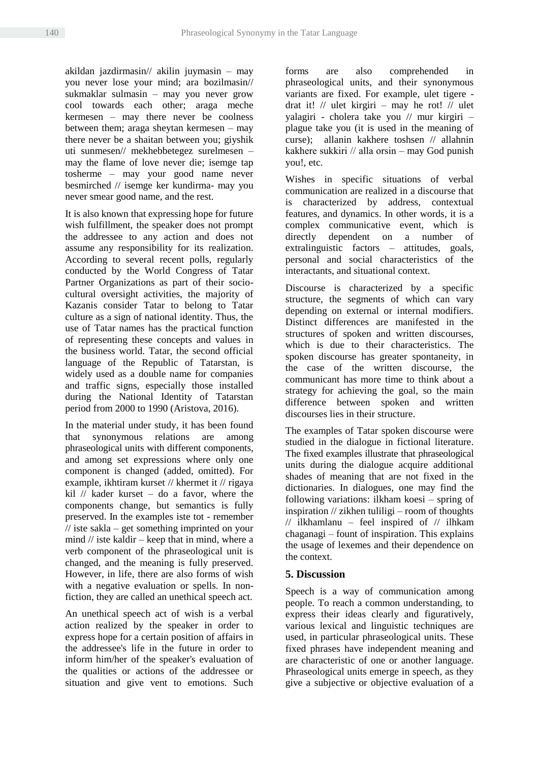akildan jazdirmasin// akilin juymasin – may you never lose your mind; ara bozilmasin// sukmaklar sulmasin – may you never grow cool towards each other; araga meche kermesen – may there never be coolness between them; araga sheytan kermesen – may there never be a shaitan between you; giyshik uti sunmesen// mekhebbetegez surelmesen – may the flame of love never die; isemge tap tosherme – may your good name never besmirched // isemge ker kundirma- may you never smear good name, and the rest.

It is also known that expressing hope for future wish fulfillment, the speaker does not prompt the addressee to any action and does not assume any responsibility for its realization. According to several recent polls, regularly conducted by the World Congress of Tatar Partner Organizations as part of their sociocultural oversight activities, the majority of Kazanis consider Tatar to belong to Tatar culture as a sign of national identity. Thus, the use of Tatar names has the practical function of representing these concepts and values in the business world. Tatar, the second official language of the Republic of Tatarstan, is widely used as a double name for companies and traffic signs, especially those installed during the National Identity of Tatarstan period from 2000 to 1990 (Aristova, 2016).

In the material under study, it has been found that synonymous relations are among phraseological units with different components, and among set expressions where only one component is changed (added, omitted). For example, ikhtiram kurset // khermet it // rigaya kil  $//$  kader kurset – do a favor, where the components change, but semantics is fully preserved. In the examples iste tot - remember  $\frac{1}{1}$  iste sakla – get something imprinted on your mind // iste kaldir – keep that in mind, where a verb component of the phraseological unit is changed, and the meaning is fully preserved. However, in life, there are also forms of wish with a negative evaluation or spells. In nonfiction, they are called an unethical speech act.

An unethical speech act of wish is a verbal action realized by the speaker in order to express hope for a certain position of affairs in the addressee's life in the future in order to inform him/her of the speaker's evaluation of the qualities or actions of the addressee or situation and give vent to emotions. Such forms are also comprehended in phraseological units, and their synonymous variants are fixed. For example, ulet tigere drat it! // ulet kirgiri – may he rot! // ulet yalagiri - cholera take you // mur kirgiri – plague take you (it is used in the meaning of curse); allanin kakhere toshsen // allahnin kakhere sukkiri // аlla orsin – may God punish you!, etc.

Wishes in specific situations of verbal communication are realized in a discourse that is characterized by address, contextual features, and dynamics. In other words, it is a complex communicative event, which is directly dependent on a number of extralinguistic factors – attitudes, goals, personal and social characteristics of the interactants, and situational context.

Discourse is characterized by a specific structure, the segments of which can vary depending on external or internal modifiers. Distinct differences are manifested in the structures of spoken and written discourses, which is due to their characteristics. The spoken discourse has greater spontaneity, in the case of the written discourse, the communicant has more time to think about a strategy for achieving the goal, so the main difference between spoken and written discourses lies in their structure.

The examples of Tatar spoken discourse were studied in the dialogue in fictional literature. The fixed examples illustrate that phraseological units during the dialogue acquire additional shades of meaning that are not fixed in the dictionaries. In dialogues, one may find the following variations: ilkham koesi – spring of inspiration // zikhen tuliligi – room of thoughts  $//$  ilkhamlanu – feel inspired of  $//$  ilhkam chaganagi – fount of inspiration. This explains the usage of lexemes and their dependence on the context.

## **5. Discussion**

Speech is a way of communication among people. To reach a common understanding, to express their ideas clearly and figuratively, various lexical and linguistic techniques are used, in particular phraseological units. These fixed phrases have independent meaning and are characteristic of one or another language. Phraseological units emerge in speech, as they give a subjective or objective evaluation of a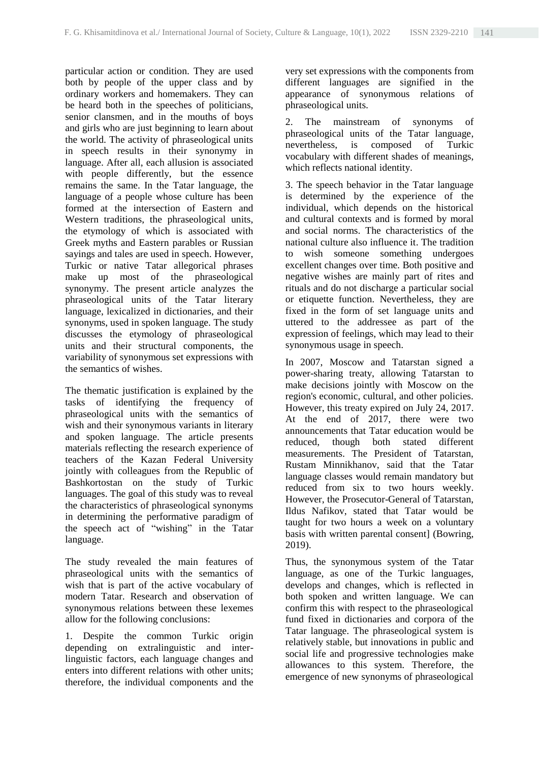particular action or condition. They are used both by people of the upper class and by ordinary workers and homemakers. They can be heard both in the speeches of politicians, senior clansmen, and in the mouths of boys and girls who are just beginning to learn about the world. The activity of phraseological units in speech results in their synonymy in language. After all, each allusion is associated with people differently, but the essence remains the same. In the Tatar language, the language of a people whose culture has been formed at the intersection of Eastern and Western traditions, the phraseological units, the etymology of which is associated with Greek myths and Eastern parables or Russian sayings and tales are used in speech. However, Turkic or native Tatar allegorical phrases make up most of the phraseological synonymy. The present article analyzes the phraseological units of the Tatar literary language, lexicalized in dictionaries, and their synonyms, used in spoken language. The study discusses the etymology of phraseological units and their structural components, the variability of synonymous set expressions with the semantics of wishes.

The thematic justification is explained by the tasks of identifying the frequency of phraseological units with the semantics of wish and their synonymous variants in literary and spoken language. The article presents materials reflecting the research experience of teachers of the Kazan Federal University jointly with colleagues from the Republic of Bashkortostan on the study of Turkic languages. The goal of this study was to reveal the characteristics of phraseological synonyms in determining the performative paradigm of the speech act of "wishing" in the Tatar language.

The study revealed the main features of phraseological units with the semantics of wish that is part of the active vocabulary of modern Tatar. Research and observation of synonymous relations between these lexemes allow for the following conclusions:

1. Despite the common Turkic origin depending on extralinguistic and interlinguistic factors, each language changes and enters into different relations with other units; therefore, the individual components and the

very set expressions with the components from different languages are signified in the appearance of synonymous relations of phraseological units.

2. The mainstream of synonyms of phraseological units of the Tatar language, nevertheless, is composed of Turkic vocabulary with different shades of meanings, which reflects national identity.

3. The speech behavior in the Tatar language is determined by the experience of the individual, which depends on the historical and cultural contexts and is formed by moral and social norms. The characteristics of the national culture also influence it. The tradition to wish someone something undergoes excellent changes over time. Both positive and negative wishes are mainly part of rites and rituals and do not discharge a particular social or etiquette function. Nevertheless, they are fixed in the form of set language units and uttered to the addressee as part of the expression of feelings, which may lead to their synonymous usage in speech.

In 2007, Moscow and Tatarstan signed a power-sharing treaty, allowing Tatarstan to make decisions jointly with Moscow on the region's economic, cultural, and other policies. However, this treaty expired on July 24, 2017. At the end of 2017, there were two announcements that Tatar education would be reduced, though both stated different measurements. The President of Tatarstan, Rustam Minnikhanov, said that the Tatar language classes would remain mandatory but reduced from six to two hours weekly. However, the Prosecutor-General of Tatarstan, Ildus Nafikov, stated that Tatar would be taught for two hours a week on a voluntary basis with written parental consent] (Bowring, 2019).

Thus, the synonymous system of the Tatar language, as one of the Turkic languages, develops and changes, which is reflected in both spoken and written language. We can confirm this with respect to the phraseological fund fixed in dictionaries and corpora of the Tatar language. The phraseological system is relatively stable, but innovations in public and social life and progressive technologies make allowances to this system. Therefore, the emergence of new synonyms of phraseological